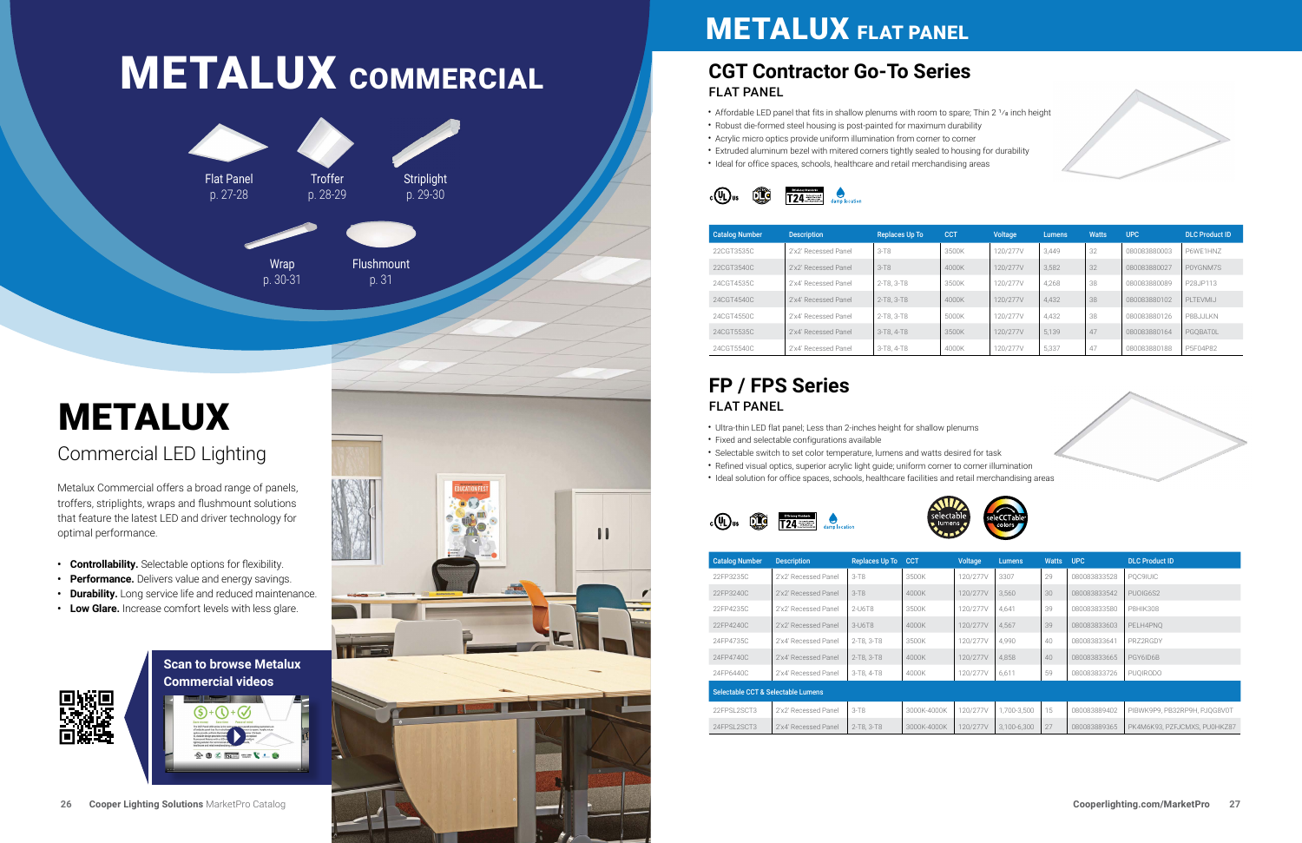

## **METALUX FLAT PANEL**

## **[CGT Contractor Go-To Series](https://www.cooperlighting.com/global/brands/metalux/1059973/cgt-led-panel-series)**  FLAT PANEL

| <b>Catalog Number</b> | <b>Description</b>   | <b>Replaces Up To</b> | <b>CCT</b> | <b>Voltage</b> | <b>Lumens</b> | <b>Watts</b> | <b>UPC</b>   | <b>DLC Product ID</b> |
|-----------------------|----------------------|-----------------------|------------|----------------|---------------|--------------|--------------|-----------------------|
| 22CGT3535C            | 2'x2' Recessed Panel | $3 - T8$              | 3500K      | 120/277V       | 3.449         | 32           | 080083880003 | P6WF1HN7              |
| 22CGT3540C            | 2'x2' Recessed Panel | $3-T8$                | 4000K      | 120/277V       | 3.582         | 32           | 080083880027 | P0YGNM7S              |
| 24CGT4535C            | 2'x4' Recessed Panel | 2-T8, 3-T8            | 3500K      | 120/277V       | 4.268         | 38           | 080083880089 | P28JP113              |
| 24CGT4540C            | 2'x4' Recessed Panel | 2-T8, 3-T8            | 4000K      | 120/277V       | 4.432         | 38           | 080083880102 | PITFVMIJ              |
| 24CGT4550C            | 2'x4' Recessed Panel | 2-T8, 3-T8            | 5000K      | 120/277V       | 4.432         | 38           | 080083880126 | P8BJJJ KN             |
| 24CGT5535C            | 2'x4' Recessed Panel | 3-T8, 4-T8            | 3500K      | 120/277V       | 5.139         | 47           | 080083880164 | PGOBATOL              |
| 24CGT5540C            | 2'x4' Recessed Panel | 3-T8, 4-T8            | 4000K      | 120/277V       | 5.337         | 47           | 080083880188 | P5F04P82              |

- Affordable LED panel that fits in shallow plenums with room to spare; Thin 2  $1/s$  inch height
- Robust die-formed steel housing is post-painted for maximum durability
- Acrylic micro optics provide uniform illumination from corner to corner
- Extruded aluminum bezel with mitered corners tightly sealed to housing for durability
- Ideal for office spaces, schools, healthcare and retail merchandising areas



# **METALUX COMMERCIAL**



# METALUX

## Commercial LED Lighting

Metalux Commercial offers a broad range of panels, troffers, striplights, wraps and flushmount solutions that feature the latest LED and driver technology for optimal performance.

| <b>Catalog Number</b>              | <b>Description</b>   | Replaces Up To | <b>CCT</b>  | Voltage  | <b>Lumens</b> | <b>Watts</b> | <b>UPC</b>   | <b>DLC Product ID</b>        |  |
|------------------------------------|----------------------|----------------|-------------|----------|---------------|--------------|--------------|------------------------------|--|
| 22FP3235C                          | 2'x2' Recessed Panel | $3 - T8$       | 3500K       | 120/277V | 3307          | 29           | 080083833528 | POC9IUIC                     |  |
| 22FP3240C                          | 2'x2' Recessed Panel | $3 - T8$       | 4000K       | 120/277V | 3.560         | 30           | 080083833542 | PUOIG6S2                     |  |
| 22FP4235C                          | 2'x2' Recessed Panel | 2-U6T8         | 3500K       | 120/277V | 4.641         | 39           | 080083833580 | <b>P8HIK308</b>              |  |
| 22FP4240C                          | 2'x2' Recessed Panel | $3-U6T8$       | 4000K       | 120/277V | 4.567         | 39           | 080083833603 | PELH4PNO                     |  |
| 24FP4735C                          | 2'x4' Recessed Panel | 2-T8, 3-T8     | 3500K       | 120/277V | 4.990         | 40           | 080083833641 | PRZ2RGDY                     |  |
| 24FP4740C                          | 2'x4' Recessed Panel | 2-T8, 3-T8     | 4000K       | 120/277V | 4,858         | 40           | 080083833665 | PGY6ID6B                     |  |
| 24FP6440C                          | 2'x4' Recessed Panel | 3-T8, 4-T8     | 4000K       | 120/277V | 6,611         | 59           | 080083833726 | <b>PUOIRODO</b>              |  |
| Selectable CCT & Selectable Lumens |                      |                |             |          |               |              |              |                              |  |
| 22FPSL2SCT3                        | 2'x2' Recessed Panel | $3 - T8$       | 3000K-4000K | 120/277V | 1.700-3.500   | 15           | 080083889402 | PIBWK9P9, PB32RP9H, PJOG8V0T |  |
| 24FPSL2SCT3                        | 2'x4' Recessed Panel | 2-T8, 3-T8     | 3000K-4000K | 120/277V | 3,100-6,300   | 27           | 080083889365 | PK4M6K93, PZFJCMXS, PU0HKZ87 |  |

- 
- 









## **[FP / FPS Series](https://www.cooperlighting.com/global/brands/metalux/1053246/fps-led-panel-series)** FLAT PANEL

- Ultra-thin LED flat panel; Less than 2-inches height for shallow plenums • Fixed and selectable configurations available
- 
- Selectable switch to set color temperature, lumens and watts desired for task
- Refined visual optics, superior acrylic light guide; uniform corner to corner illumination • Ideal solution for office spaces, schools, healthcare facilities and retail merchandising areas
- 





## **Scan to browse Metalux Commercial videos**

 $\leq$   $\frac{1}{124}$  and  $\leq$ 

 $\cdot$  (Q)



- **• Controllability.** Selectable options for flexibility.
- **• Performance.** Delivers value and energy savings.
- **• Durability.** Long service life and reduced maintenance.
- **• Low Glare.** Increase comfort levels with less glare.